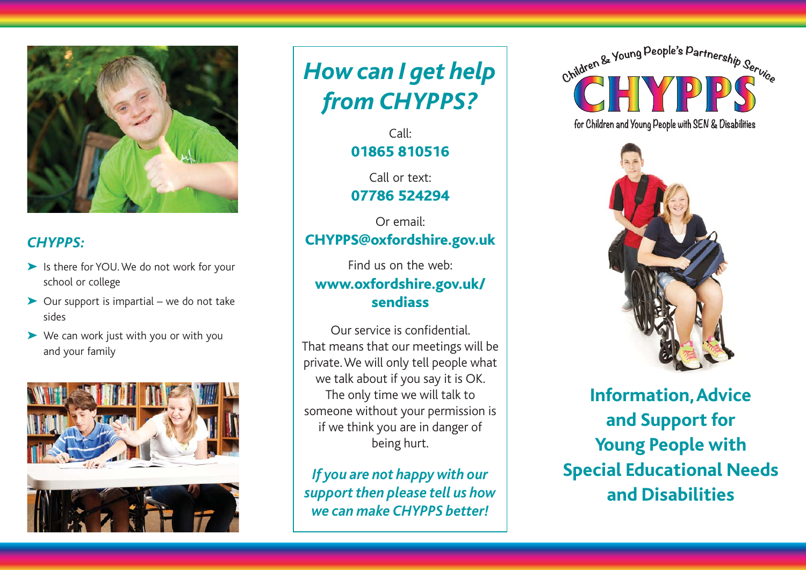

## *CHYPPS:*

- ➤ Is there for YOU. We do not work for your school or college
- ➤ Our support is impartial we do not take sides
- ➤ We can work just with you or with you and your family



*How can I get help from CHYPPS?*

> Call:01865 810516

> Call or text:07786 524294

Or email:CHYPPS@oxfordshire.gov.uk

Find us on the web:www.oxfordshire.gov.uk/ sendiass

Our service is confidential.That means that our meetings will be private. We will only tell people what we talk about if you say it is OK. The only time we will talk to someone without your permission is if we think you are in danger of being hurt.

*If you are not happy with our support then please tell us how we can make CHYPPS better!*

Children & Young People's Partnership Service for Children and Young People with SEN & Disabilities



**Information, Advice and Support for Young People with Special Educational Needs and Disabilities**